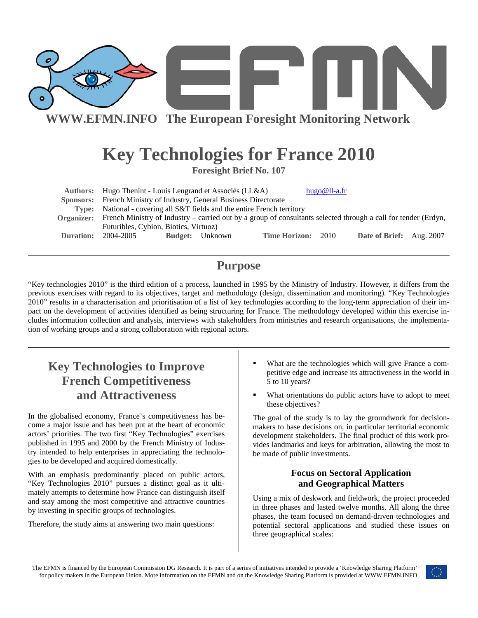

# **Key Technologies for France 2010**

**Foresight Brief No. 107** 

| Authors:  | Hugo Thenint - Louis Lengrand et Associés (LL&A)                                                                          |  |                        |                    | hugo@ll-a.fr |                          |  |
|-----------|---------------------------------------------------------------------------------------------------------------------------|--|------------------------|--------------------|--------------|--------------------------|--|
|           | Sponsors: French Ministry of Industry, General Business Directorate                                                       |  |                        |                    |              |                          |  |
|           | Type: National - covering all S&T fields and the entire French territory                                                  |  |                        |                    |              |                          |  |
|           | Organizer: French Ministry of Industry – carried out by a group of consultants selected through a call for tender (Erdyn, |  |                        |                    |              |                          |  |
|           | Futuribles, Cybion, Biotics, Virtuoz)                                                                                     |  |                        |                    |              |                          |  |
| Duration: | 2004-2005                                                                                                                 |  | <b>Budget:</b> Unknown | Time Horizon: 2010 |              | Date of Brief: Aug. 2007 |  |

## **Purpose**

"Key technologies 2010" is the third edition of a process, launched in 1995 by the Ministry of Industry. However, it differs from the previous exercises with regard to its objectives, target and methodology (design, dissemination and monitoring). "Key Technologies 2010" results in a characterisation and prioritisation of a list of key technologies according to the long-term appreciation of their impact on the development of activities identified as being structuring for France. The methodology developed within this exercise includes information collection and analysis, interviews with stakeholders from ministries and research organisations, the implementation of working groups and a strong collaboration with regional actors.

## **Key Technologies to Improve French Competitiveness and Attractiveness**

In the globalised economy, France's competitiveness has become a major issue and has been put at the heart of economic actors' priorities. The two first "Key Technologies" exercises published in 1995 and 2000 by the French Ministry of Industry intended to help enterprises in appreciating the technologies to be developed and acquired domestically.

With an emphasis predominantly placed on public actors, "Key Technologies 2010" pursues a distinct goal as it ultimately attempts to determine how France can distinguish itself and stay among the most competitive and attractive countries by investing in specific groups of technologies.

Therefore, the study aims at answering two main questions:

- What are the technologies which will give France a competitive edge and increase its attractiveness in the world in 5 to 10 years?
- What orientations do public actors have to adopt to meet these objectives?

The goal of the study is to lay the groundwork for decisionmakers to base decisions on, in particular territorial economic development stakeholders. The final product of this work provides landmarks and keys for arbitration, allowing the most to be made of public investments.

## **Focus on Sectoral Application and Geographical Matters**

Using a mix of deskwork and fieldwork, the project proceeded in three phases and lasted twelve months. All along the three phases, the team focused on demand-driven technologies and potential sectoral applications and studied these issues on three geographical scales:

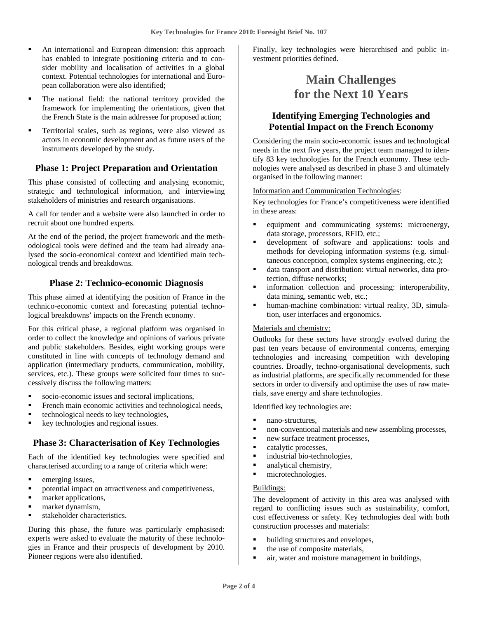- An international and European dimension: this approach has enabled to integrate positioning criteria and to consider mobility and localisation of activities in a global context. Potential technologies for international and European collaboration were also identified;
- The national field: the national territory provided the framework for implementing the orientations, given that the French State is the main addressee for proposed action;
- Territorial scales, such as regions, were also viewed as actors in economic development and as future users of the instruments developed by the study.

## **Phase 1: Project Preparation and Orientation**

This phase consisted of collecting and analysing economic, strategic and technological information, and interviewing stakeholders of ministries and research organisations.

A call for tender and a website were also launched in order to recruit about one hundred experts.

At the end of the period, the project framework and the methodological tools were defined and the team had already analysed the socio-economical context and identified main technological trends and breakdowns.

### **Phase 2: Technico-economic Diagnosis**

This phase aimed at identifying the position of France in the technico-economic context and forecasting potential technological breakdowns' impacts on the French economy.

For this critical phase, a regional platform was organised in order to collect the knowledge and opinions of various private and public stakeholders. Besides, eight working groups were constituted in line with concepts of technology demand and application (intermediary products, communication, mobility, services, etc.). These groups were solicited four times to successively discuss the following matters:

- socio-economic issues and sectoral implications,
- French main economic activities and technological needs,
- technological needs to key technologies,
- key technologies and regional issues.

### **Phase 3: Characterisation of Key Technologies**

Each of the identified key technologies were specified and characterised according to a range of criteria which were:

- $\blacksquare$  emerging issues,
- potential impact on attractiveness and competitiveness,
- market applications,
- **narket dynamism,**
- stakeholder characteristics.

During this phase, the future was particularly emphasised: experts were asked to evaluate the maturity of these technologies in France and their prospects of development by 2010. Pioneer regions were also identified.

Finally, key technologies were hierarchised and public investment priorities defined.

## **Main Challenges for the Next 10 Years**

## **Identifying Emerging Technologies and Potential Impact on the French Economy**

Considering the main socio-economic issues and technological needs in the next five years, the project team managed to identify 83 key technologies for the French economy. These technologies were analysed as described in phase 3 and ultimately organised in the following manner:

Information and Communication Technologies:

Key technologies for France's competitiveness were identified in these areas:

- equipment and communicating systems: microenergy, data storage, processors, RFID, etc.;
- development of software and applications: tools and methods for developing information systems (e.g. simultaneous conception, complex systems engineering, etc.);
- data transport and distribution: virtual networks, data protection, diffuse networks;
- information collection and processing: interoperability, data mining, semantic web, etc.;
- human-machine combination: virtual reality, 3D, simulation, user interfaces and ergonomics.

#### Materials and chemistry:

Outlooks for these sectors have strongly evolved during the past ten years because of environmental concerns, emerging technologies and increasing competition with developing countries. Broadly, techno-organisational developments, such as industrial platforms, are specifically recommended for these sectors in order to diversify and optimise the uses of raw materials, save energy and share technologies.

Identified key technologies are:

- nano-structures,
- non-conventional materials and new assembling processes,
- new surface treatment processes,
- catalytic processes,
- industrial bio-technologies,
- analytical chemistry,
- microtechnologies.

#### Buildings:

The development of activity in this area was analysed with regard to conflicting issues such as sustainability, comfort, cost effectiveness or safety. Key technologies deal with both construction processes and materials:

- building structures and envelopes,
- the use of composite materials,
- **a** air, water and moisture management in buildings,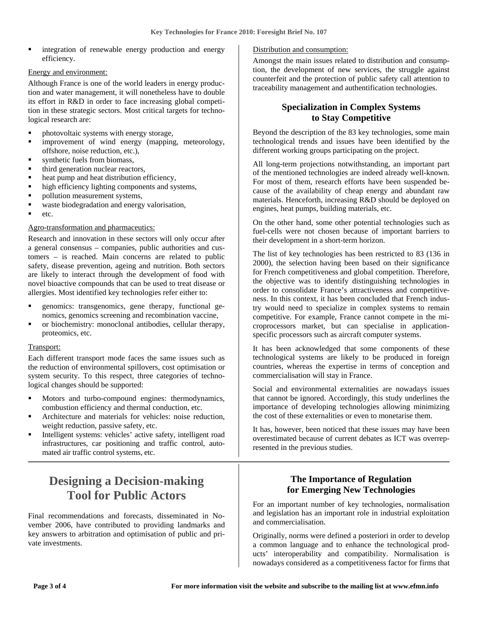integration of renewable energy production and energy efficiency.

#### Energy and environment:

Although France is one of the world leaders in energy production and water management, it will nonetheless have to double its effort in R&D in order to face increasing global competition in these strategic sectors. Most critical targets for technological research are:

- photovoltaic systems with energy storage,
- **EXECUTE:** improvement of wind energy (mapping, meteorology, offshore, noise reduction, etc.),
- synthetic fuels from biomass,
- third generation nuclear reactors,
- heat pump and heat distribution efficiency,
- high efficiency lighting components and systems,
- pollution measurement systems,
- waste biodegradation and energy valorisation,
- etc.

#### Agro-transformation and pharmaceutics:

Research and innovation in these sectors will only occur after a general consensus – companies, public authorities and customers – is reached. Main concerns are related to public safety, disease prevention, ageing and nutrition. Both sectors are likely to interact through the development of food with novel bioactive compounds that can be used to treat disease or allergies. Most identified key technologies refer either to:

- genomics: transgenomics, gene therapy, functional genomics, genomics screening and recombination vaccine,
- or biochemistry: monoclonal antibodies, cellular therapy, proteomics, etc.

#### Transport:

Each different transport mode faces the same issues such as the reduction of environmental spillovers, cost optimisation or system security. To this respect, three categories of technological changes should be supported:

- **Motors** and turbo-compound engines: thermodynamics, combustion efficiency and thermal conduction, etc.
- Architecture and materials for vehicles: noise reduction, weight reduction, passive safety, etc.
- Intelligent systems: vehicles' active safety, intelligent road infrastructures, car positioning and traffic control, automated air traffic control systems, etc.

## **Designing a Decision-making Tool for Public Actors**

Final recommendations and forecasts, disseminated in November 2006, have contributed to providing landmarks and key answers to arbitration and optimisation of public and private investments.

#### Distribution and consumption:

Amongst the main issues related to distribution and consumption, the development of new services, the struggle against counterfeit and the protection of public safety call attention to traceability management and authentification technologies.

## **Specialization in Complex Systems to Stay Competitive**

Beyond the description of the 83 key technologies, some main technological trends and issues have been identified by the different working groups participating on the project.

All long-term projections notwithstanding, an important part of the mentioned technologies are indeed already well-known. For most of them, research efforts have been suspended because of the availability of cheap energy and abundant raw materials. Henceforth, increasing R&D should be deployed on engines, heat pumps, building materials, etc.

On the other hand, some other potential technologies such as fuel-cells were not chosen because of important barriers to their development in a short-term horizon.

The list of key technologies has been restricted to 83 (136 in 2000), the selection having been based on their significance for French competitiveness and global competition. Therefore, the objective was to identify distinguishing technologies in order to consolidate France's attractiveness and competitiveness. In this context, it has been concluded that French industry would need to specialize in complex systems to remain competitive. For example, France cannot compete in the microprocessors market, but can specialise in applicationspecific processors such as aircraft computer systems.

It has been acknowledged that some components of these technological systems are likely to be produced in foreign countries, whereas the expertise in terms of conception and commercialisation will stay in France.

Social and environmental externalities are nowadays issues that cannot be ignored. Accordingly, this study underlines the importance of developing technologies allowing minimizing the cost of these externalities or even to monetarise them.

It has, however, been noticed that these issues may have been overestimated because of current debates as ICT was overrepresented in the previous studies.

## **The Importance of Regulation for Emerging New Technologies**

For an important number of key technologies, normalisation and legislation has an important role in industrial exploitation and commercialisation.

Originally, norms were defined a posteriori in order to develop a common language and to enhance the technological products' interoperability and compatibility. Normalisation is nowadays considered as a competitiveness factor for firms that